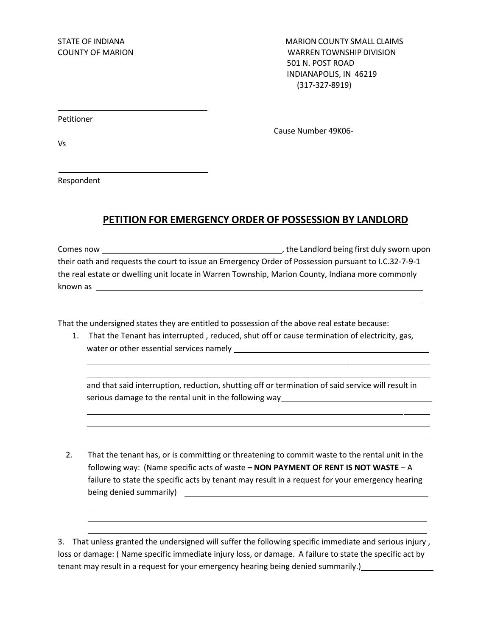STATE OF INDIANA MARION COUNTY SMALL CLAIMS COUNTY OF MARION WARRENTOWNSHIP DIVISION 501 N. POST ROAD INDIANAPOLIS, IN 46219 (317-327-8919)

Petitioner

Cause Number 49K06-

Vs

Respondent

## **PETITION FOR EMERGENCY ORDER OF POSSESSION BY LANDLORD**

Comes now , the Landlord being first duly sworn upon their oath and requests the court to issue an Emergency Order of Possession pursuant to I.C.32-7-9-1 the real estate or dwelling unit locate in Warren Township, Marion County, Indiana more commonly known as

That the undersigned states they are entitled to possession of the above real estate because:

1. That the Tenant has interrupted , reduced, shut off or cause termination of electricity, gas, water or other essential services namely

and that said interruption, reduction, shutting off or termination of said service will result in serious damage to the rental unit in the following way

2. That the tenant has, or is committing or threatening to commit waste to the rental unit in the following way: (Name specific acts of waste **– NON PAYMENT OF RENT IS NOT WASTE** – A failure to state the specific acts by tenant may result in a request for your emergency hearing being denied summarily) example and the summarily of the summarily of the summarily of the summarily of the summarily of the summarily of the summarily of the summarily of the summarily of the summarily of the summarily of

3. That unless granted the undersigned will suffer the following specific immediate and serious injury , loss or damage: ( Name specific immediate injury loss, or damage. A failure to state the specific act by tenant may result in a request for your emergency hearing being denied summarily.)